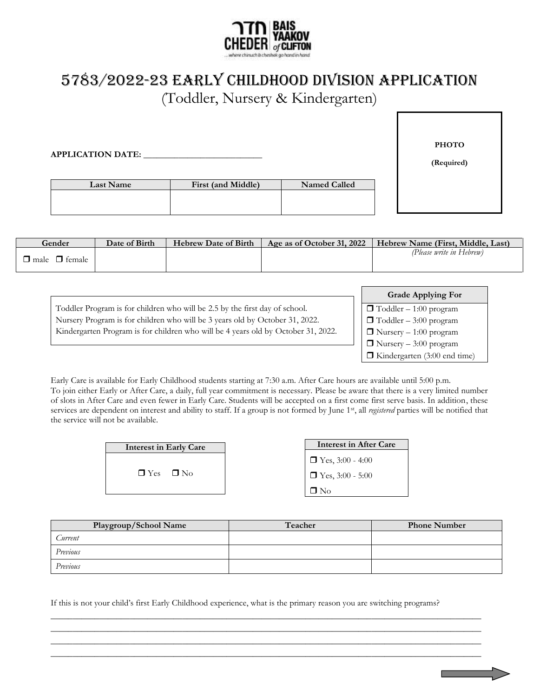

## 5783/2022-23 EARLY CHILDHOOD Division APPLICATION

(Toddler, Nursery & Kindergarten)

| <b>APPLICATION DATE:</b> |                    |              | <b>PHOTO</b><br>(Required) |
|--------------------------|--------------------|--------------|----------------------------|
| Last Name                | First (and Middle) | Named Called |                            |

| Gender                    | Date of Birth | <b>Hebrew Date of Birth</b> | Age as of October 31, 2022 | Hebrew Name (First, Middle, Last) |
|---------------------------|---------------|-----------------------------|----------------------------|-----------------------------------|
| $\Box$ male $\Box$ female |               |                             |                            | (Please write in Hebrew)          |

|                                                                                   | <b>Grade Applying For</b>           |
|-----------------------------------------------------------------------------------|-------------------------------------|
| Toddler Program is for children who will be 2.5 by the first day of school.       | $\Box$ Toddler – 1:00 program       |
| Nursery Program is for children who will be 3 years old by October 31, 2022.      | $\Box$ Toddler – 3:00 program       |
| Kindergarten Program is for children who will be 4 years old by October 31, 2022. | $\Box$ Nursery – 1:00 program       |
|                                                                                   | $\Box$ Nursery – 3:00 program       |
|                                                                                   | $\Box$ Kindergarten (3:00 end time) |

Early Care is available for Early Childhood students starting at 7:30 a.m. After Care hours are available until 5:00 p.m. To join either Early or After Care, a daily, full year commitment is necessary. Please be aware that there is a very limited number of slots in After Care and even fewer in Early Care. Students will be accepted on a first come first serve basis. In addition, these services are dependent on interest and ability to staff. If a group is not formed by June 1st, all *registered* parties will be notified that the service will not be available.

| <b>Interest in Early Care</b> |
|-------------------------------|
| $\Box$ Yes $\Box$ No          |

| <b>Interest in After Care</b> |
|-------------------------------|
| $\Box$ Yes, 3:00 - 4:00       |
| $\Box$ Yes, 3:00 - 5:00       |
| $\Box$ No                     |

| Playgroup/School Name | Teacher | <b>Phone Number</b> |
|-----------------------|---------|---------------------|
| Current               |         |                     |
| Previous              |         |                     |
| Previous              |         |                     |

If this is not your child's first Early Childhood experience, what is the primary reason you are switching programs?

 $\_$  , and the set of the set of the set of the set of the set of the set of the set of the set of the set of the set of the set of the set of the set of the set of the set of the set of the set of the set of the set of th  $\_$  , and the set of the set of the set of the set of the set of the set of the set of the set of the set of the set of the set of the set of the set of the set of the set of the set of the set of the set of the set of th  $\_$  , and the set of the set of the set of the set of the set of the set of the set of the set of the set of the set of the set of the set of the set of the set of the set of the set of the set of the set of the set of th  $\_$  ,  $\_$  ,  $\_$  ,  $\_$  ,  $\_$  ,  $\_$  ,  $\_$  ,  $\_$  ,  $\_$  ,  $\_$  ,  $\_$  ,  $\_$  ,  $\_$  ,  $\_$  ,  $\_$  ,  $\_$  ,  $\_$  ,  $\_$  ,  $\_$  ,  $\_$  ,  $\_$  ,  $\_$  ,  $\_$  ,  $\_$  ,  $\_$  ,  $\_$  ,  $\_$  ,  $\_$  ,  $\_$  ,  $\_$  ,  $\_$  ,  $\_$  ,  $\_$  ,  $\_$  ,  $\_$  ,  $\_$  ,  $\_$  ,